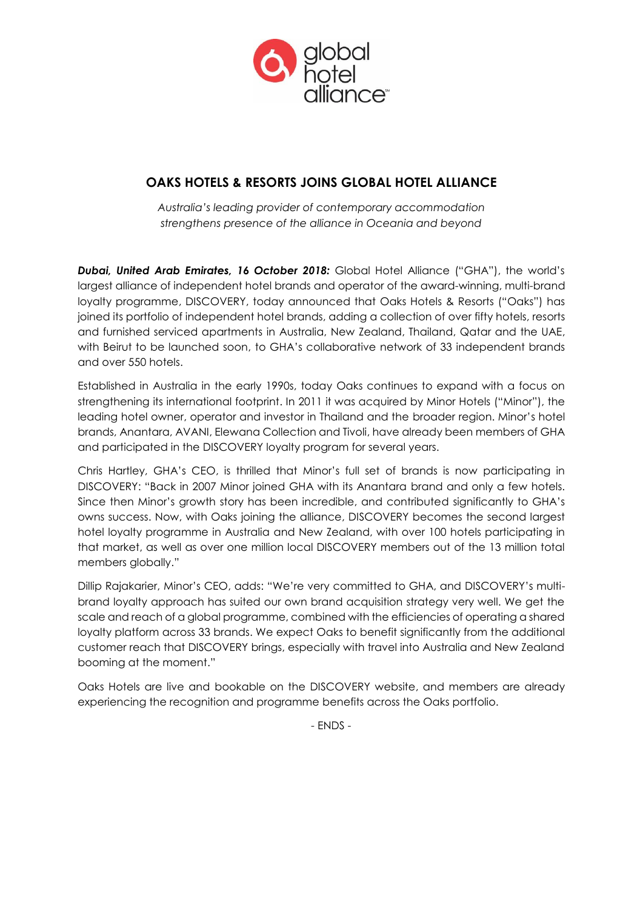

# **OAKS HOTELS & RESORTS JOINS GLOBAL HOTEL ALLIANCE**

*Australia's leading provider of contemporary accommodation strengthens presence of the alliance in Oceania and beyond*

*Dubai, United Arab Emirates, 16 October 2018:* Global Hotel Alliance ("GHA"), the world's largest alliance of independent hotel brands and operator of the award-winning, multi-brand loyalty programme, DISCOVERY, today announced that Oaks Hotels & Resorts ("Oaks") has joined its portfolio of independent hotel brands, adding a collection of over fifty hotels, resorts and furnished serviced apartments in Australia, New Zealand, Thailand, Qatar and the UAE, with Beirut to be launched soon, to GHA's collaborative network of 33 independent brands and over 550 hotels.

Established in Australia in the early 1990s, today Oaks continues to expand with a focus on strengthening its international footprint. In 2011 it was acquired by Minor Hotels ("Minor"), the leading hotel owner, operator and investor in Thailand and the broader region. Minor's hotel brands, Anantara, AVANI, Elewana Collection and Tivoli, have already been members of GHA and participated in the DISCOVERY loyalty program for several years.

Chris Hartley, GHA's CEO, is thrilled that Minor's full set of brands is now participating in DISCOVERY: "Back in 2007 Minor joined GHA with its Anantara brand and only a few hotels. Since then Minor's growth story has been incredible, and contributed significantly to GHA's owns success. Now, with Oaks joining the alliance, DISCOVERY becomes the second largest hotel loyalty programme in Australia and New Zealand, with over 100 hotels participating in that market, as well as over one million local DISCOVERY members out of the 13 million total members globally."

Dillip Rajakarier, Minor's CEO, adds: "We're very committed to GHA, and DISCOVERY's multibrand loyalty approach has suited our own brand acquisition strategy very well. We get the scale and reach of a global programme, combined with the efficiencies of operating a shared loyalty platform across 33 brands. We expect Oaks to benefit significantly from the additional customer reach that DISCOVERY brings, especially with travel into Australia and New Zealand booming at the moment."

Oaks Hotels are live and bookable on the DISCOVERY website, and members are already experiencing the recognition and programme benefits across the Oaks portfolio.

- ENDS -